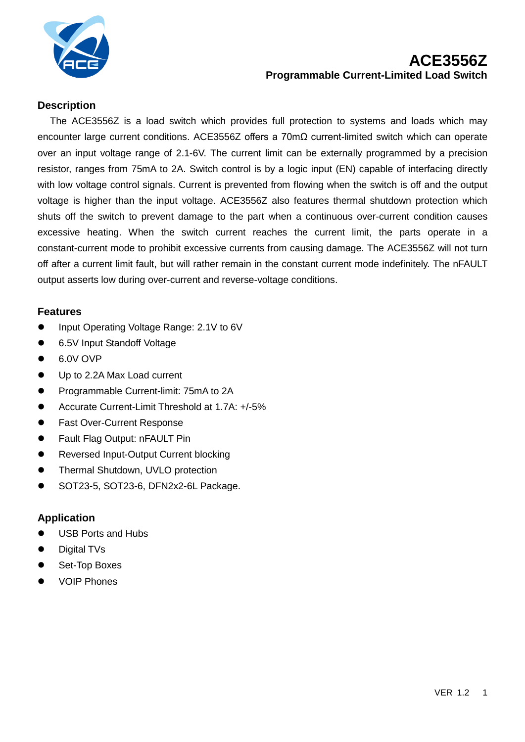

#### **Description**

The ACE3556Z is a load switch which provides full protection to systems and loads which may encounter large current conditions. ACE3556Z offers a 70mΩ current-limited switch which can operate over an input voltage range of 2.1-6V. The current limit can be externally programmed by a precision resistor, ranges from 75mA to 2A. Switch control is by a logic input (EN) capable of interfacing directly with low voltage control signals. Current is prevented from flowing when the switch is off and the output voltage is higher than the input voltage. ACE3556Z also features thermal shutdown protection which shuts off the switch to prevent damage to the part when a continuous over-current condition causes excessive heating. When the switch current reaches the current limit, the parts operate in a constant-current mode to prohibit excessive currents from causing damage. The ACE3556Z will not turn off after a current limit fault, but will rather remain in the constant current mode indefinitely. The nFAULT output asserts low during over-current and reverse-voltage conditions.

#### **Features**

- Input Operating Voltage Range: 2.1V to 6V
- 6.5V Input Standoff Voltage
- 6.0V OVP
- $\bullet$  Up to 2.2A Max Load current
- **•** Programmable Current-limit: 75mA to 2A
- Accurate Current-Limit Threshold at 1.7A: +/-5%
- **•** Fast Over-Current Response
- Fault Flag Output: nFAULT Pin
- Reversed Input-Output Current blocking
- **•** Thermal Shutdown, UVLO protection
- SOT23-5, SOT23-6, DFN2x2-6L Package.

#### **Application**

- USB Ports and Hubs
- Digital TVs
- Set-Top Boxes
- VOIP Phones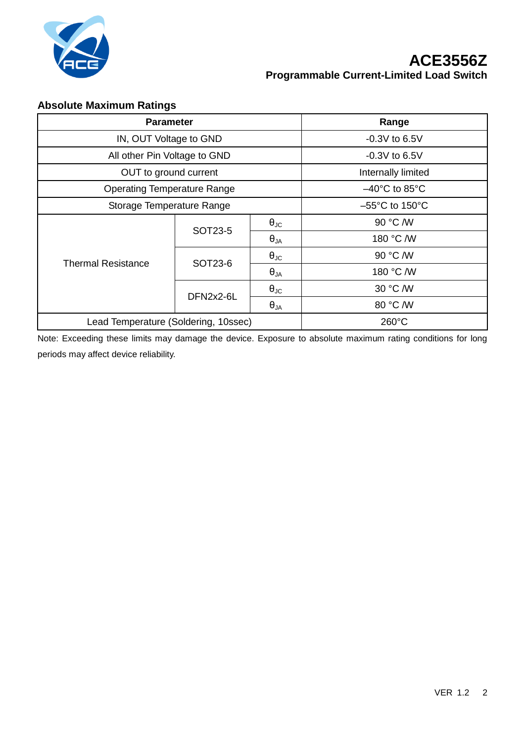

| <b>Parameter</b>                     |           |                      | Range                               |
|--------------------------------------|-----------|----------------------|-------------------------------------|
| IN, OUT Voltage to GND               |           |                      | $-0.3V$ to 6.5V                     |
| All other Pin Voltage to GND         |           |                      | $-0.3V$ to 6.5V                     |
| OUT to ground current                |           |                      | Internally limited                  |
| <b>Operating Temperature Range</b>   |           |                      | $-40^{\circ}$ C to 85 $^{\circ}$ C  |
| Storage Temperature Range            |           |                      | $-55^{\circ}$ C to 150 $^{\circ}$ C |
| <b>Thermal Resistance</b>            | SOT23-5   | $\theta_{\text{JC}}$ | 90 °C /W                            |
|                                      |           | $\Theta_{JA}$        | 180 °C /W                           |
|                                      | SOT23-6   | $\theta_{\text{JC}}$ | 90 °C /W                            |
|                                      |           | $\Theta_{JA}$        | 180 °C /W                           |
|                                      | DFN2x2-6L | $\theta_{\text{JC}}$ | 30 °C /W                            |
|                                      |           | $\theta_{JA}$        | 80 °C /W                            |
| Lead Temperature (Soldering, 10ssec) |           |                      | $260^{\circ}$ C                     |

## **Absolute Maximum Ratings**

Note: Exceeding these limits may damage the device. Exposure to absolute maximum rating conditions for long periods may affect device reliability.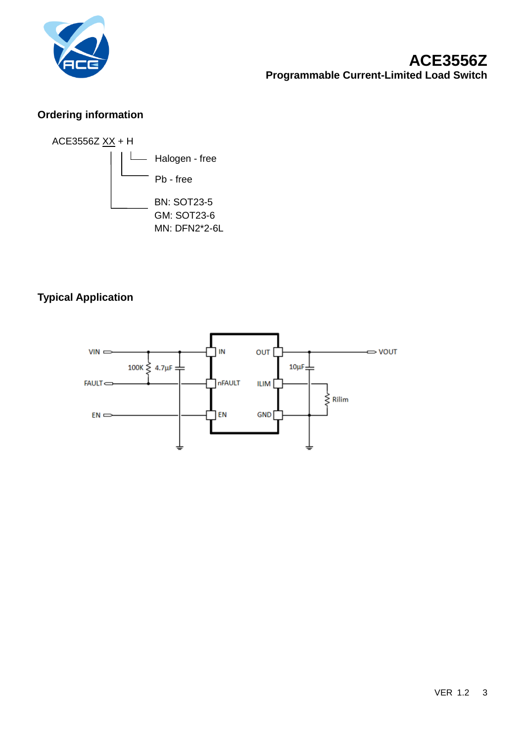

### **Ordering information**



## **Typical Application**